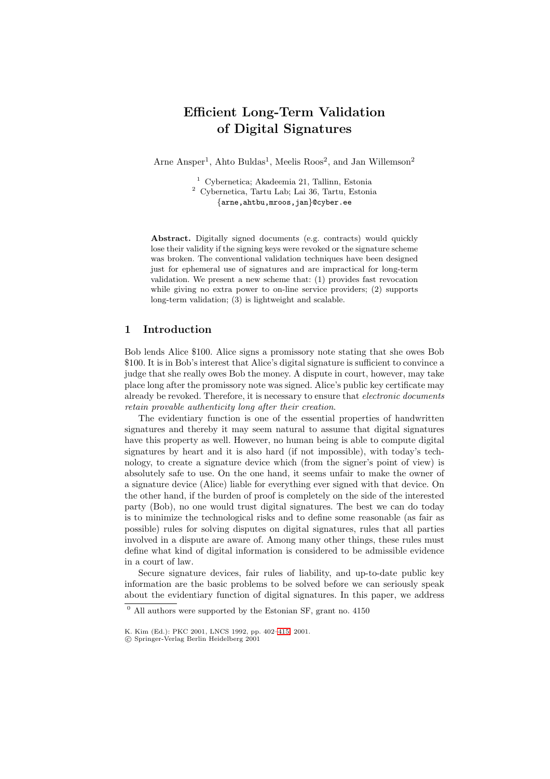# **Efficient Long-Term Validation of Digital Signatures**

Arne Ansper<sup>1</sup>, Ahto Buldas<sup>1</sup>, Meelis Roos<sup>2</sup>, and Jan Willemson<sup>2</sup>

<sup>1</sup> Cybernetica; Akadeemia 21, Tallinn, Estonia <sup>2</sup> Cybernetica, Tartu Lab; Lai 36, Tartu, Estonia {arne,ahtbu,mroos,jan}@cyber.ee

**Abstract.** Digitally signed documents (e.g. contracts) would quickly lose their validity if the signing keys were revoked or the signature scheme was broken. The conventional validation techniques have been designed just for ephemeral use of signatures and are impractical for long-term validation. We present a new scheme that:  $(1)$  provides fast revocation while giving no extra power to on-line service providers;  $(2)$  supports long-term validation;  $(3)$  is lightweight and scalable.

### **1 Introduction**

Bob lends Alice \$100. Alice signs a promissory note stating that she owes Bob \$100. It is in Bob's interest that Alice's digital signature is sufficient to convince a judge that she really owes Bob the money. A dispute in court, however, may take place long after the promissory note was signed. Alice's public key certificate may already be revoked. Therefore, it is necessary to ensure that *electronic documents* retain provable authenticity long after their creation.

The evidentiary function is one of the essential properties of handwritten signatures and thereby it may seem natural to assume that digital signatures have this property as well. However, no human being is able to compute digital signatures by heart and it is also hard (if not impossible), with today's technology, to create a signature device which (from the signer's point of view) is absolutely safe to use. On the one hand, it seems unfair to make the owner of a signature device (Alice) liable for everything ever signed with that device. On the other hand, if the burden of proof is completely on the side of the interested party (Bob), no one would trust digital signatures. The best we can do today is to minimize the technological risks and to define some reasonable (as fair as possible) rules for solving disputes on digital signatures, rules that all parties involved in a dispute are aware of. Among many other things, these rules must define what kind of digital information is considered to be admissible evidence in a court of law.

Secure signature devices, fair rules of liability, and up-to-date public key information are the basic problems to be solved before we can seriously speak about the evidentiary function of digital signatures. In this paper, we address

 $^{0}$  All authors were supported by the Estonian SF, grant no. 4150

K. Kim (Ed.): PKC 2001, LNCS 1992, pp. 402[–415,](#page-13-0) 2001.

c Springer-Verlag Berlin Heidelberg 2001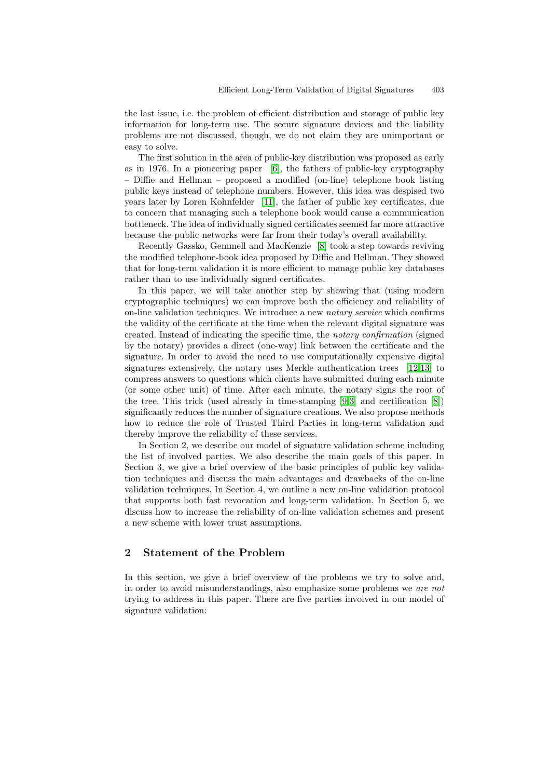the last issue, i.e. the problem of efficient distribution and storage of public key information for long-term use. The secure signature devices and the liability problems are not discussed, though, we do not claim they are unimportant or easy to solve.

The first solution in the area of public-key distribution was proposed as early as in 1976. In a pioneering paper [\[6\]](#page-13-0), the fathers of public-key cryptography – Diffie and Hellman – proposed a modified (on-line) telephone book listing public keys instead of telephone numbers. However, this idea was despised two years later by Loren Kohnfelder [\[11\]](#page-13-0), the father of public key certificates, due to concern that managing such a telephone book would cause a communication bottleneck. The idea of individually signed certificates seemed far more attractive because the public networks were far from their today's overall availability.

Recently Gassko, Gemmell and MacKenzie [\[8\]](#page-13-0) took a step towards reviving the modified telephone-book idea proposed by Diffie and Hellman. They showed that for long-term validation it is more efficient to manage public key databases rather than to use individually signed certificates.

In this paper, we will take another step by showing that (using modern cryptographic techniques) we can improve both the efficiency and reliability of on-line validation techniques. We introduce a new notary service which confirms the validity of the certificate at the time when the relevant digital signature was created. Instead of indicating the specific time, the notary confirmation (signed by the notary) provides a direct (one-way) link between the certificate and the signature. In order to avoid the need to use computationally expensive digital signatures extensively, the notary uses Merkle authentication trees [\[12,13\]](#page-13-0) to compress answers to questions which clients have submitted during each minute (or some other unit) of time. After each minute, the notary signs the root of the tree. This trick (used already in time-stamping [\[9](#page-13-0)[,3\]](#page-12-0) and certification [\[8\]](#page-13-0)) significantly reduces the number of signature creations. We also propose methods how to reduce the role of Trusted Third Parties in long-term validation and thereby improve the reliability of these services.

In Section 2, we describe our model of signature validation scheme including the list of involved parties. We also describe the main goals of this paper. In Section 3, we give a brief overview of the basic principles of public key validation techniques and discuss the main advantages and drawbacks of the on-line validation techniques. In Section 4, we outline a new on-line validation protocol that supports both fast revocation and long-term validation. In Section 5, we discuss how to increase the reliability of on-line validation schemes and present a new scheme with lower trust assumptions.

#### **2 Statement of the Problem**

In this section, we give a brief overview of the problems we try to solve and, in order to avoid misunderstandings, also emphasize some problems we are not trying to address in this paper. There are five parties involved in our model of signature validation: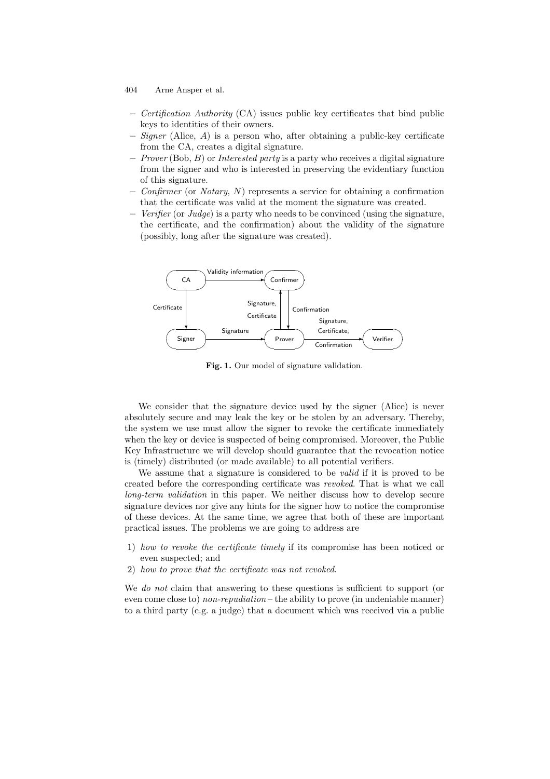- **–** Certification Authority (CA) issues public key certificates that bind public keys to identities of their owners.
- **–** Signer (Alice, A) is a person who, after obtaining a public-key certificate from the CA, creates a digital signature.
- **–** Prover (Bob, B) or Interested party is a party who receives a digital signature from the signer and who is interested in preserving the evidentiary function of this signature.
- **–** Confirmer (or Notary, N) represents a service for obtaining a confirmation that the certificate was valid at the moment the signature was created.
- **–** Verifier (or Judge) is a party who needs to be convinced (using the signature, the certificate, and the confirmation) about the validity of the signature (possibly, long after the signature was created).



**Fig. 1.** Our model of signature validation.

We consider that the signature device used by the signer (Alice) is never absolutely secure and may leak the key or be stolen by an adversary. Thereby, the system we use must allow the signer to revoke the certificate immediately when the key or device is suspected of being compromised. Moreover, the Public Key Infrastructure we will develop should guarantee that the revocation notice is (timely) distributed (or made available) to all potential verifiers.

We assume that a signature is considered to be *valid* if it is proved to be created before the corresponding certificate was revoked. That is what we call long-term validation in this paper. We neither discuss how to develop secure signature devices nor give any hints for the signer how to notice the compromise of these devices. At the same time, we agree that both of these are important practical issues. The problems we are going to address are

- 1) how to revoke the certificate timely if its compromise has been noticed or even suspected; and
- 2) how to prove that the certificate was not revoked.

We do not claim that answering to these questions is sufficient to support (or even come close to) non-repudiation – the ability to prove (in undeniable manner) to a third party (e.g. a judge) that a document which was received via a public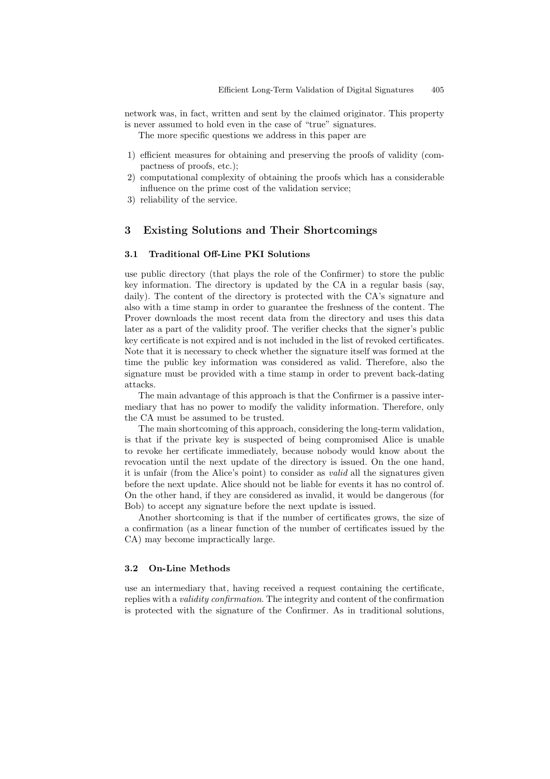network was, in fact, written and sent by the claimed originator. This property is never assumed to hold even in the case of "true" signatures.

The more specific questions we address in this paper are

- 1) efficient measures for obtaining and preserving the proofs of validity (compactness of proofs, etc.);
- 2) computational complexity of obtaining the proofs which has a considerable influence on the prime cost of the validation service;
- 3) reliability of the service.

### **3 Existing Solutions and Their Shortcomings**

#### **3.1 Traditional Off-Line PKI Solutions**

use public directory (that plays the role of the Confirmer) to store the public key information. The directory is updated by the CA in a regular basis (say, daily). The content of the directory is protected with the CA's signature and also with a time stamp in order to guarantee the freshness of the content. The Prover downloads the most recent data from the directory and uses this data later as a part of the validity proof. The verifier checks that the signer's public key certificate is not expired and is not included in the list of revoked certificates. Note that it is necessary to check whether the signature itself was formed at the time the public key information was considered as valid. Therefore, also the signature must be provided with a time stamp in order to prevent back-dating attacks.

The main advantage of this approach is that the Confirmer is a passive intermediary that has no power to modify the validity information. Therefore, only the CA must be assumed to be trusted.

The main shortcoming of this approach, considering the long-term validation, is that if the private key is suspected of being compromised Alice is unable to revoke her certificate immediately, because nobody would know about the revocation until the next update of the directory is issued. On the one hand, it is unfair (from the Alice's point) to consider as valid all the signatures given before the next update. Alice should not be liable for events it has no control of. On the other hand, if they are considered as invalid, it would be dangerous (for Bob) to accept any signature before the next update is issued.

Another shortcoming is that if the number of certificates grows, the size of a confirmation (as a linear function of the number of certificates issued by the CA) may become impractically large.

#### **3.2 On-Line Methods**

use an intermediary that, having received a request containing the certificate, replies with a validity confirmation. The integrity and content of the confirmation is protected with the signature of the Confirmer. As in traditional solutions,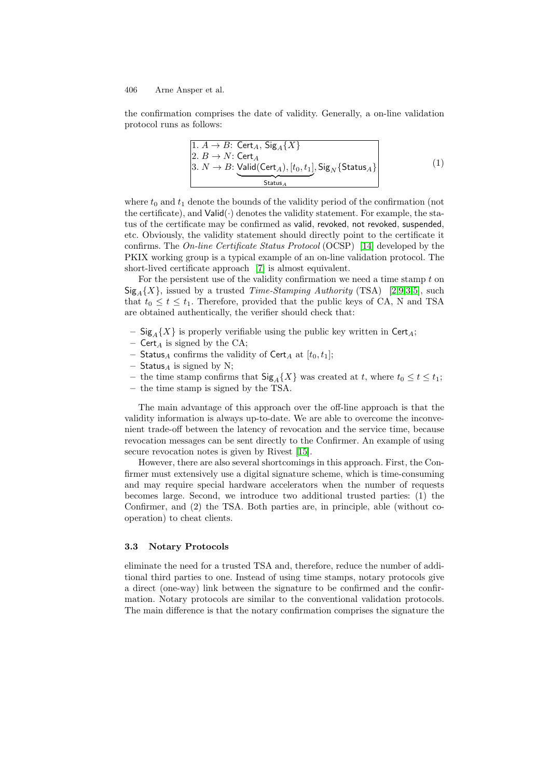the confirmation comprises the date of validity. Generally, a on-line validation protocol runs as follows:

1. 
$$
A \rightarrow B
$$
:  $\text{Cert}_A$ ,  $\text{Sig}_A\{X\}$   
\n2.  $B \rightarrow N$ :  $\text{Cert}_A$   
\n3.  $N \rightarrow B$ :  $\underbrace{\text{Valid}(\text{Cert}_A), [t_0, t_1]}_{\text{Status}_A}$ ,  $\text{Sig}_N\{\text{Status}_A\}$  (1)

where  $t_0$  and  $t_1$  denote the bounds of the validity period of the confirmation (not the certificate), and  $Valid(\cdot)$  denotes the validity statement. For example, the status of the certificate may be confirmed as valid, revoked, not revoked, suspended, etc. Obviously, the validity statement should directly point to the certificate it confirms. The On-line Certificate Status Protocol (OCSP) [\[14\]](#page-13-0) developed by the PKIX working group is a typical example of an on-line validation protocol. The short-lived certificate approach [\[7\]](#page-13-0) is almost equivalent.

For the persistent use of the validity confirmation we need a time stamp  $t$  on  $\operatorname{Sig}_{A}\{X\}$ , issued by a trusted *Time-Stamping Authority* (TSA) [\[2](#page-12-0)[,9](#page-13-0)[,3](#page-12-0)[,5\]](#page-13-0), such that  $t_0 \leq t \leq t_1$ . Therefore, provided that the public keys of CA, N and TSA are obtained authentically, the verifier should check that:

- **–** Sig<sub>A</sub>{X} is properly verifiable using the public key written in Cert<sub>A</sub>;
- $-$  Cert<sub>A</sub> is signed by the CA;
- **–** Status<sub>A</sub> confirms the validity of Cert<sub>A</sub> at  $[t_0, t_1]$ ;
- $-$  Status<sub>A</sub> is signed by N;
- the time stamp confirms that  $\text{Sig}_A\{X\}$  was created at t, where  $t_0 \leq t \leq t_1$ ;
- **–** the time stamp is signed by the TSA.

The main advantage of this approach over the off-line approach is that the validity information is always up-to-date. We are able to overcome the inconvenient trade-off between the latency of revocation and the service time, because revocation messages can be sent directly to the Confirmer. An example of using secure revocation notes is given by Rivest [\[15\]](#page-13-0).

However, there are also several shortcomings in this approach. First, the Confirmer must extensively use a digital signature scheme, which is time-consuming and may require special hardware accelerators when the number of requests becomes large. Second, we introduce two additional trusted parties: (1) the Confirmer, and (2) the TSA. Both parties are, in principle, able (without cooperation) to cheat clients.

#### **3.3 Notary Protocols**

eliminate the need for a trusted TSA and, therefore, reduce the number of additional third parties to one. Instead of using time stamps, notary protocols give a direct (one-way) link between the signature to be confirmed and the confirmation. Notary protocols are similar to the conventional validation protocols. The main difference is that the notary confirmation comprises the signature the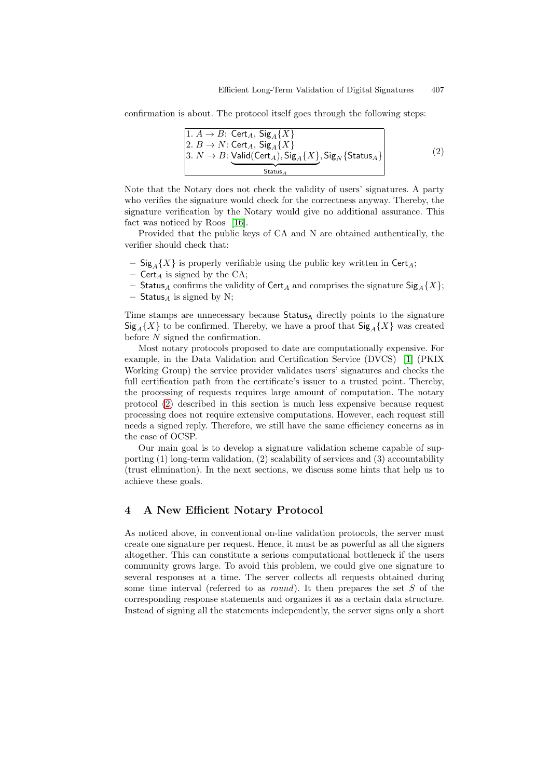<span id="page-5-0"></span>confirmation is about. The protocol itself goes through the following steps:

$$
\begin{bmatrix}\n1. A \rightarrow B: \text{Cert}_A, \text{Sig}_A \{X\} \\
2. B \rightarrow N: \text{Cert}_A, \text{Sig}_A \{X\} \\
3. N \rightarrow B: \underbrace{\text{Valid}(\text{Cert}_A), \text{Sig}_A \{X\},}_{\text{Status}_A}, \text{Sig}_N \{\text{Status}_A\}\n\end{bmatrix} (2)
$$

Note that the Notary does not check the validity of users'signatures. A party who verifies the signature would check for the correctness anyway. Thereby, the signature verification by the Notary would give no additional assurance. This fact was noticed by Roos [\[16\]](#page-13-0).

Provided that the public keys of CA and N are obtained authentically, the verifier should check that:

- **–** Sig<sub>A</sub>{X} is properly verifiable using the public key written in Cert<sub>A</sub>;
- $-$  Cert<sub>A</sub> is signed by the CA;
- **–** Status<sub>A</sub> confirms the validity of Cert<sub>A</sub> and comprises the signature Sig<sub>A</sub>{X};
- $-$  Status<sub>A</sub> is signed by N;

Time stamps are unnecessary because  $Status<sub>A</sub>$  directly points to the signature  $\operatorname{Sig}_A\{X\}$  to be confirmed. Thereby, we have a proof that  $\operatorname{Sig}_A\{X\}$  was created before N signed the confirmation.

Most notary protocols proposed to date are computationally expensive. For example, in the Data Validation and Certification Service (DVCS) [\[1\]](#page-12-0) (PKIX Working Group) the service provider validates users' signatures and checks the full certification path from the certificate's issuer to a trusted point. Thereby, the processing of requests requires large amount of computation. The notary protocol (2) described in this section is much less expensive because request processing does not require extensive computations. However, each request still needs a signed reply. Therefore, we still have the same efficiency concerns as in the case of OCSP.

Our main goal is to develop a signature validation scheme capable of supporting  $(1)$  long-term validation,  $(2)$  scalability of services and  $(3)$  accountability (trust elimination). In the next sections, we discuss some hints that help us to achieve these goals.

#### **4A New Efficient Notary Protocol**

As noticed above, in conventional on-line validation protocols, the server must create one signature per request. Hence, it must be as powerful as all the signers altogether. This can constitute a serious computational bottleneck if the users community grows large. To avoid this problem, we could give one signature to several responses at a time. The server collects all requests obtained during some time interval (referred to as *round*). It then prepares the set  $S$  of the corresponding response statements and organizes it as a certain data structure. Instead of signing all the statements independently, the server signs only a short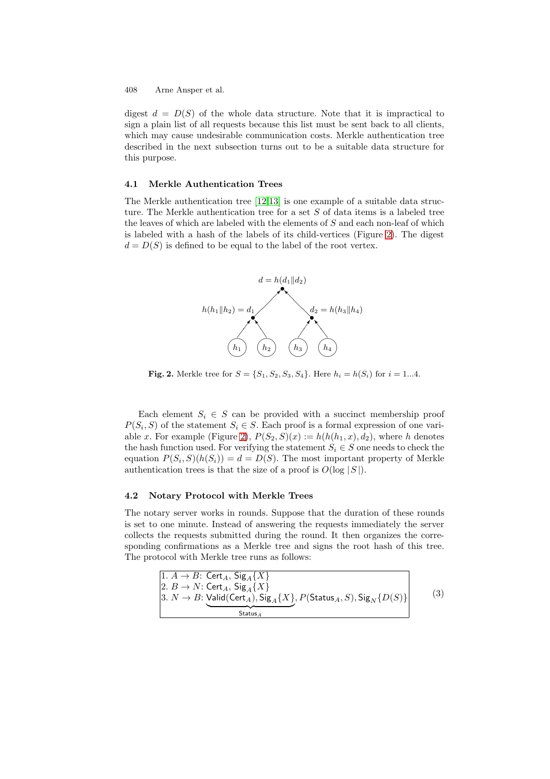<span id="page-6-0"></span>digest  $d = D(S)$  of the whole data structure. Note that it is impractical to sign a plain list of all requests because this list must be sent back to all clients, which may cause undesirable communication costs. Merkle authentication tree described in the next subsection turns out to be a suitable data structure for this purpose.

#### **4.1 Merkle Authentication Trees**

The Merkle authentication tree [\[12,13\]](#page-13-0) is one example of a suitable data structure. The Merkle authentication tree for a set S of data items is a labeled tree the leaves of which are labeled with the elements of  $S$  and each non-leaf of which is labeled with a hash of the labels of its child-vertices (Figure 2). The digest  $d = D(S)$  is defined to be equal to the label of the root vertex.



**Fig. 2.** Merkle tree for  $S = \{S_1, S_2, S_3, S_4\}$ . Here  $h_i = h(S_i)$  for  $i = 1...4$ .

Each element  $S_i \in S$  can be provided with a succinct membership proof  $P(S_i, S)$  of the statement  $S_i \in S$ . Each proof is a formal expression of one variable x. For example (Figure 2),  $P(S_2, S)(x) := h(h(h_1, x), d_2)$ , where h denotes the hash function used. For verifying the statement  $S_i \in S$  one needs to check the equation  $P(S_i, S)(h(S_i)) = d = D(S)$ . The most important property of Merkle authentication trees is that the size of a proof is  $O(\log |S|)$ .

#### **4.2 Notary Protocol with Merkle Trees**

The notary server works in rounds. Suppose that the duration of these rounds is set to one minute. Instead of answering the requests immediately the server collects the requests submitted during the round. It then organizes the corresponding confirmations as a Merkle tree and signs the root hash of this tree. The protocol with Merkle tree runs as follows:

> $\vert 1. A \rightarrow B$ : Cert<sub>A</sub>, Sig<sub>A</sub>{X} 2.  $B \to N$ : Cert<sub>A</sub>, Sig<sub>A</sub>{X} 3.  $N \to B$ : Valid(Cert<sub>A</sub>), Sig<sub>A</sub>{X}, P(Status<sub>A</sub>, S), Sig<sub>N</sub>{D(S)}<sup>(3)</sup>  $Status_A$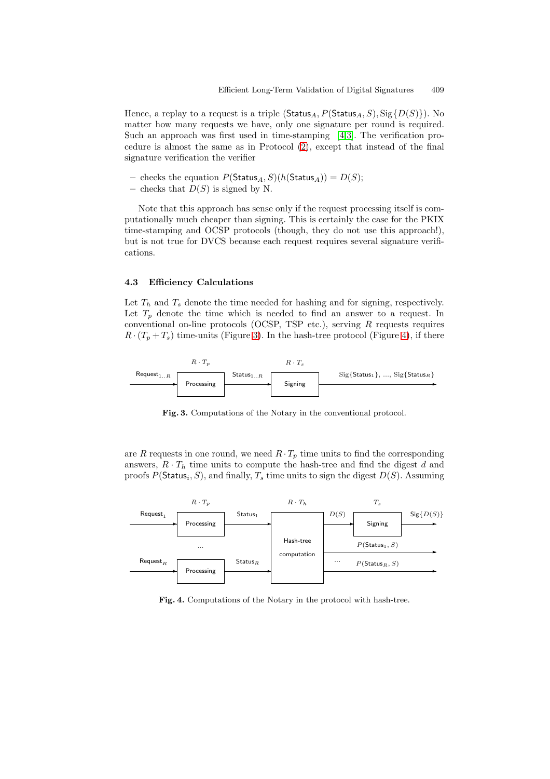Hence, a replay to a request is a triple  $(\text{Status}_A, P(\text{Status}_A, S), \text{Sig}\{D(S)\})$ . No matter how many requests we have, only one signature per round is required. Such an approach was first used in time-stamping [\[4](#page-13-0)[,3\]](#page-12-0). The verification procedure is almost the same as in Protocol [\(2\)](#page-5-0), except that instead of the final signature verification the verifier

- checks the equation  $P(\text{Status}_A, S)(h(\text{Status}_A)) = D(S);$
- checks that  $D(S)$  is signed by N.

Note that this approach has sense only if the request processing itself is computationally much cheaper than signing. This is certainly the case for the PKIX time-stamping and OCSP protocols (though, they do not use this approach!), but is not true for DVCS because each request requires several signature verifications.

#### **4.3 Efficiency Calculations**

Let  $T_h$  and  $T_s$  denote the time needed for hashing and for signing, respectively. Let  $T_p$  denote the time which is needed to find an answer to a request. In conventional on-line protocols (OCSP, TSP etc.), serving R requests requires  $R \cdot (T_p + T_s)$  time-units (Figure 3). In the hash-tree protocol (Figure 4), if there



**Fig. 3.** Computations of the Notary in the conventional protocol.

are R requests in one round, we need  $R \cdot T_p$  time units to find the corresponding answers,  $R \cdot T_h$  time units to compute the hash-tree and find the digest d and proofs  $P(\text{Status}_i, S)$ , and finally,  $T_s$  time units to sign the digest  $D(S)$ . Assuming



**Fig. 4.** Computations of the Notary in the protocol with hash-tree.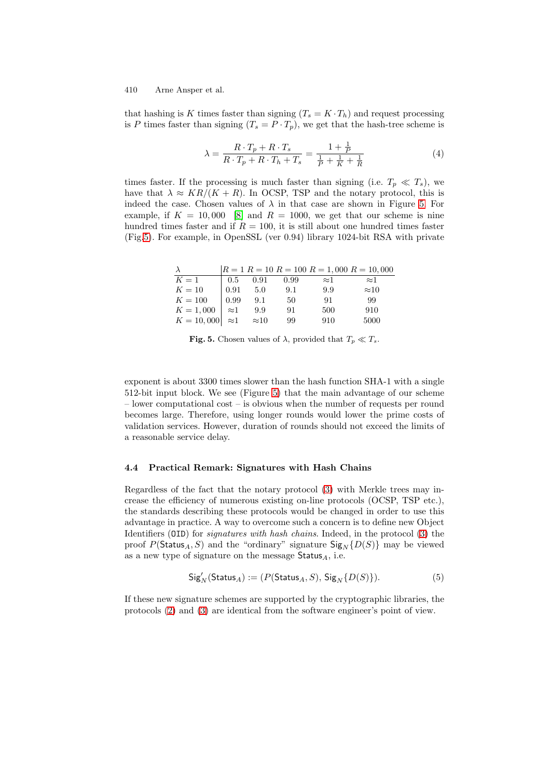<span id="page-8-0"></span>that hashing is K times faster than signing  $(T_s = K \cdot T_h)$  and request processing is P times faster than signing  $(T_s = P \cdot T_p)$ , we get that the hash-tree scheme is

$$
\lambda = \frac{R \cdot T_p + R \cdot T_s}{R \cdot T_p + R \cdot T_h + T_s} = \frac{1 + \frac{1}{P}}{\frac{1}{P} + \frac{1}{K} + \frac{1}{R}}
$$
(4)

times faster. If the processing is much faster than signing (i.e.  $T_p \ll T_s$ ), we have that  $\lambda \approx KR/(K+R)$ . In OCSP, TSP and the notary protocol, this is indeed the case. Chosen values of  $\lambda$  in that case are shown in Figure 5. For example, if  $K = 10,000$  [\[8\]](#page-13-0) and  $R = 1000$ , we get that our scheme is nine hundred times faster and if  $R = 100$ , it is still about one hundred times faster (Fig.5). For example, in OpenSSL (ver 0.94) library 1024-bit RSA with private

| $\lambda$                             |             |      |      |             | $R = 1 R = 10 R = 100 R = 1,000 R = 10,000$ |
|---------------------------------------|-------------|------|------|-------------|---------------------------------------------|
| $K=1$                                 | 0.5         | 0.91 | 0.99 | $\approx$ 1 | $\approx$ 1                                 |
| $K=10$                                | 0.91        | 5.0  | 9.1  | 9.9         | $\approx 10$                                |
| $K = 100$                             | 0.99        | 9.1  | 50   | 91          | 99                                          |
| $K = 1,000$                           | $\approx$ 1 | 9.9  | 91   | 500         | 910                                         |
| $K = 10,000$ $\approx 1$ $\approx 10$ |             |      | 99   | 910         | 5000                                        |

**Fig. 5.** Chosen values of  $\lambda$ , provided that  $T_p \ll T_s$ .

exponent is about 3300 times slower than the hash function SHA-1 with a single 512-bit input block. We see (Figure 5) that the main advantage of our scheme – lower computational cost – is obvious when the number of requests per round becomes large. Therefore, using longer rounds would lower the prime costs of validation services. However, duration of rounds should not exceed the limits of a reasonable service delay.

#### **4.4 Practical Remark: Signatures with Hash Chains**

Regardless of the fact that the notary protocol [\(3\)](#page-6-0) with Merkle trees may increase the efficiency of numerous existing on-line protocols (OCSP, TSP etc.), the standards describing these protocols would be changed in order to use this advantage in practice. A way to overcome such a concern is to define new Object Identifiers (OID) for signatures with hash chains. Indeed, in the protocol [\(3\)](#page-6-0) the proof  $P(\text{Status}_A, S)$  and the "ordinary" signature  $\text{Sig}_N\{D(S)\}\$  may be viewed as a new type of signature on the message  $Status<sub>A</sub>$ , i.e.

$$
\mathsf{Sig}'_N(\mathsf{Status}_A) := (P(\mathsf{Status}_A, S), \, \mathsf{Sig}_N\{D(S)\}).\tag{5}
$$

If these new signature schemes are supported by the cryptographic libraries, the protocols [\(2\)](#page-5-0) and [\(3\)](#page-6-0) are identical from the software engineer's point of view.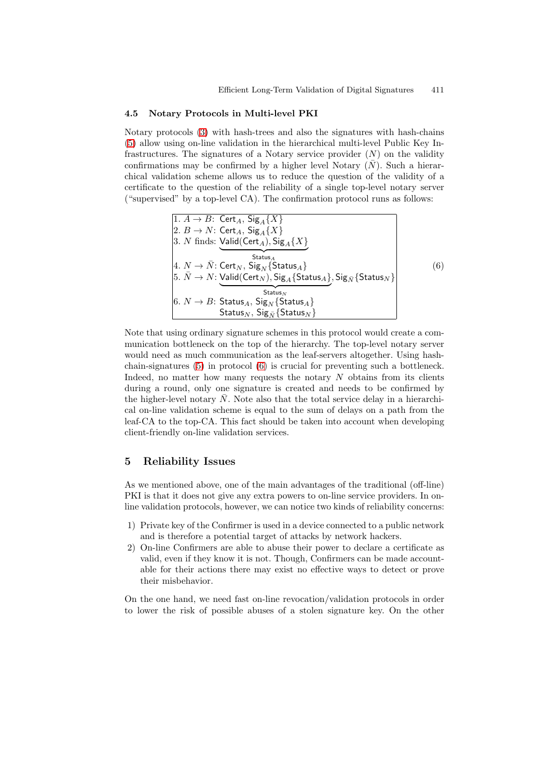#### **4.5 Notary Protocols in Multi-level PKI**

Notary protocols [\(3\)](#page-6-0) with hash-trees and also the signatures with hash-chains [\(5\)](#page-8-0) allow using on-line validation in the hierarchical multi-level Public Key Infrastructures. The signatures of a Notary service provider  $(N)$  on the validity confirmations may be confirmed by a higher level Notary  $(N)$ . Such a hierarchical validation scheme allows us to reduce the question of the validity of a certificate to the question of the reliability of a single top-level notary server ("supervised" by a top-level CA). The confirmation protocol runs as follows:

$$
1. A \rightarrow B: \text{Cert}_{A}, \text{Sig}_{A}\{X\}
$$
\n
$$
2. B \rightarrow N: \text{Cert}_{A}, \text{Sig}_{A}\{X\}
$$
\n
$$
3. N \text{ finds: } \text{Valid}(\text{Cert}_{A}), \text{Sig}_{A}\{X\}
$$
\n
$$
4. N \rightarrow \bar{N}: \text{Cert}_{N}, \text{Sig}_{N} \{\text{Status}_{A}\}
$$
\n
$$
5. \bar{N} \rightarrow N: \text{Valid}(\text{Cert}_{N}), \text{Sig}_{A} \{\text{Status}_{A}\}, \text{Sig}_{\bar{N}} \{\text{Status}_{N}\}
$$
\n
$$
6. N \rightarrow B: \text{Status}_{A}, \text{Sig}_{N} \{\text{Status}_{A}\}
$$
\n
$$
\text{Status}_{N}, \text{Sig}_{\bar{N}} \{\text{Status}_{N}\}
$$
\n(6)

Note that using ordinary signature schemes in this protocol would create a communication bottleneck on the top of the hierarchy. The top-level notary server would need as much communication as the leaf-servers altogether. Using hashchain-signatures [\(5\)](#page-8-0) in protocol (6) is crucial for preventing such a bottleneck. Indeed, no matter how many requests the notary  $N$  obtains from its clients during a round, only one signature is created and needs to be confirmed by the higher-level notary  $\overline{N}$ . Note also that the total service delay in a hierarchical on-line validation scheme is equal to the sum of delays on a path from the leaf-CA to the top-CA. This fact should be taken into account when developing client-friendly on-line validation services.

### **5 Reliability Issues**

As we mentioned above, one of the main advantages of the traditional (off-line) PKI is that it does not give any extra powers to on-line service providers. In online validation protocols, however, we can notice two kinds of reliability concerns:

- 1) Private key of the Confirmer is used in a device connected to a public network and is therefore a potential target of attacks by network hackers.
- 2) On-line Confirmers are able to abuse their power to declare a certificate as valid, even if they know it is not. Though, Confirmers can be made accountable for their actions there may exist no effective ways to detect or prove their misbehavior.

On the one hand, we need fast on-line revocation/validation protocols in order to lower the risk of possible abuses of a stolen signature key. On the other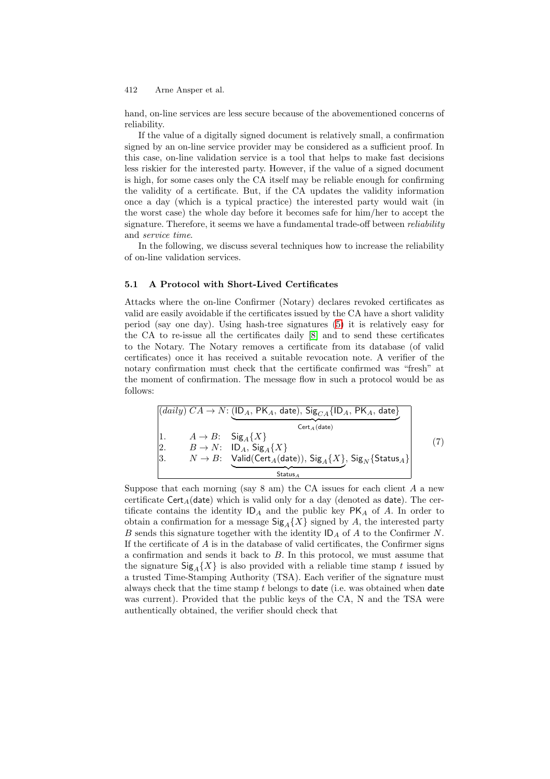<span id="page-10-0"></span>hand, on-line services are less secure because of the abovementioned concerns of reliability.

If the value of a digitally signed document is relatively small, a confirmation signed by an on-line service provider may be considered as a sufficient proof. In this case, on-line validation service is a tool that helps to make fast decisions less riskier for the interested party. However, if the value of a signed document is high, for some cases only the CA itself may be reliable enough for confirming the validity of a certificate. But, if the CA updates the validity information once a day (which is a typical practice) the interested party would wait (in the worst case) the whole day before it becomes safe for him/her to accept the signature. Therefore, it seems we have a fundamental trade-off between *reliability* and service time.

In the following, we discuss several techniques how to increase the reliability of on-line validation services.

#### **5.1 A Protocol with Short-Lived Certificates**

Attacks where the on-line Confirmer (Notary) declares revoked certificates as valid are easily avoidable if the certificates issued by the CA have a short validity period (say one day). Using hash-tree signatures [\(5\)](#page-8-0) it is relatively easy for the CA to re-issue all the certificates daily [\[8\]](#page-13-0) and to send these certificates to the Notary. The Notary removes a certificate from its database (of valid certificates) once it has received a suitable revocation note. A verifier of the notary confirmation must check that the certificate confirmed was "fresh" at the moment of confirmation. The message flow in such a protocol would be as follows:

| (daily) $CA \rightarrow N: (\mathsf{ID}_A, \mathsf{PK}_A, \text{date}), \mathsf{Sig}_{CA} \{\mathsf{ID}_A, \mathsf{PK}_A, \text{date}\}\)$ |                                                        |                                                                                                                                |
|--------------------------------------------------------------------------------------------------------------------------------------------|--------------------------------------------------------|--------------------------------------------------------------------------------------------------------------------------------|
| 1.                                                                                                                                         | $A \rightarrow B: \mathsf{Sig}_A \{X\}$                | $\text{Cert}_A(\text{date})$                                                                                                   |
| 2.                                                                                                                                         | $B \rightarrow N: \mathsf{ID}_A, \mathsf{Sig}_A \{X\}$ | $\text{N} \rightarrow B: \mathsf{Valid}(\text{Cert}_A(\text{date})), \mathsf{Sig}_A \{X\}, \mathsf{Sig}_N \{\text{Status}_A\}$ |

Suppose that each morning (say  $8 \text{ am}$ ) the CA issues for each client A a new certificate Cert<sub>A</sub>(date) which is valid only for a day (denoted as date). The certificate contains the identity  $ID_A$  and the public key  $PK_A$  of A. In order to obtain a confirmation for a message  $\text{Sig}_{A}\{X\}$  signed by A, the interested party B sends this signature together with the identity  $\mathsf{ID}_A$  of A to the Confirmer N. If the certificate of A is in the database of valid certificates, the Confirmer signs a confirmation and sends it back to B. In this protocol, we must assume that the signature  $\text{Sig}_A\{X\}$  is also provided with a reliable time stamp t issued by a trusted Time-Stamping Authority (TSA). Each verifier of the signature must always check that the time stamp  $t$  belongs to date (i.e. was obtained when date was current). Provided that the public keys of the CA, N and the TSA were authentically obtained, the verifier should check that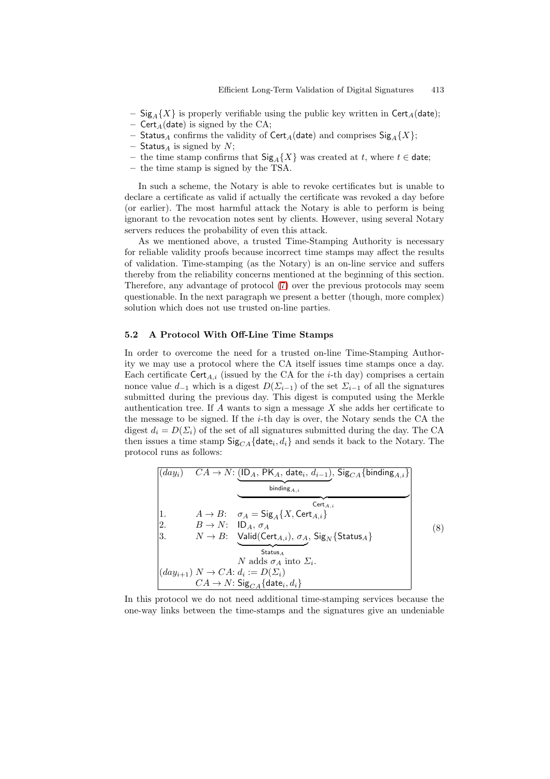- $-$  Sig<sub>A</sub>{X} is properly verifiable using the public key written in Cert<sub>A</sub>(date);
- $-$  Cert<sub>A</sub>(date) is signed by the CA;
- **–** Status<sub>A</sub> confirms the validity of Cert<sub>A</sub>(date) and comprises  $\text{Sig}_{A}\{X\}$ ;
- $-$  Status<sub>A</sub> is signed by N;
- the time stamp confirms that  $\text{Sig}_{A}\{X\}$  was created at t, where t ∈ date;
- **–** the time stamp is signed by the TSA.

In such a scheme, the Notary is able to revoke certificates but is unable to declare a certificate as valid if actually the certificate was revoked a day before (or earlier). The most harmful attack the Notary is able to perform is being ignorant to the revocation notes sent by clients. However, using several Notary servers reduces the probability of even this attack.

As we mentioned above, a trusted Time-Stamping Authority is necessary for reliable validity proofs because incorrect time stamps may affect the results of validation. Time-stamping (as the Notary) is an on-line service and suffers thereby from the reliability concerns mentioned at the beginning of this section. Therefore, any advantage of protocol [\(7\)](#page-10-0) over the previous protocols may seem questionable. In the next paragraph we present a better (though, more complex) solution which does not use trusted on-line parties.

#### **5.2 A Protocol With Off-Line Time Stamps**

In order to overcome the need for a trusted on-line Time-Stamping Authority we may use a protocol where the CA itself issues time stamps once a day. Each certificate  $\text{Cert}_{A,i}$  (issued by the CA for the *i*-th day) comprises a certain nonce value  $d_{-1}$  which is a digest  $D(\Sigma_{i-1})$  of the set  $\Sigma_{i-1}$  of all the signatures submitted during the previous day. This digest is computed using the Merkle authentication tree. If A wants to sign a message  $X$  she adds her certificate to the message to be signed. If the i-th day is over, the Notary sends the CA the digest  $d_i = D(\Sigma_i)$  of the set of all signatures submitted during the day. The CA then issues a time stamp  $\text{Sig}_{CA}$ {date<sub>i</sub>,  $d_i$ } and sends it back to the Notary. The protocol runs as follows:

| $(day_i)$                                               | $CA \rightarrow N$ : | $(ID_A, PK_A, date_i, d_{i-1})$ , $Sig_{CA} \{binding_{A,i}\}$ |
|---------------------------------------------------------|----------------------|----------------------------------------------------------------|
| 1.                                                      | $A \rightarrow B$ :  | $\sigma_A = Sig_A\{X, Cert_{A,i}\}$                            |
| 2.                                                      | $B \rightarrow N$ :  | $ID_A, \sigma_A$                                               |
| 3.                                                      | $N \rightarrow B$ :  | $Valid(Cert_{A,i}), \sigma_A, Sig_N \{Status_A\}$              |
| 3.                                                      | $N \rightarrow B$ :  | $Valid(\text{Cert}_{A,i}), \sigma_A, Sig_N \{Status_A\}$       |
| $Madds \sigma_A \text{ into } \Sigma_i$ .               |                      |                                                                |
| $(day_{i+1})$ $N \rightarrow CA$ : $d_i := D(\Sigma_i)$ |                      |                                                                |
| $CA \rightarrow N$ : $Sig_{CA} \{date_i, d_i\}$         |                      |                                                                |

In this protocol we do not need additional time-stamping services because the one-way links between the time-stamps and the signatures give an undeniable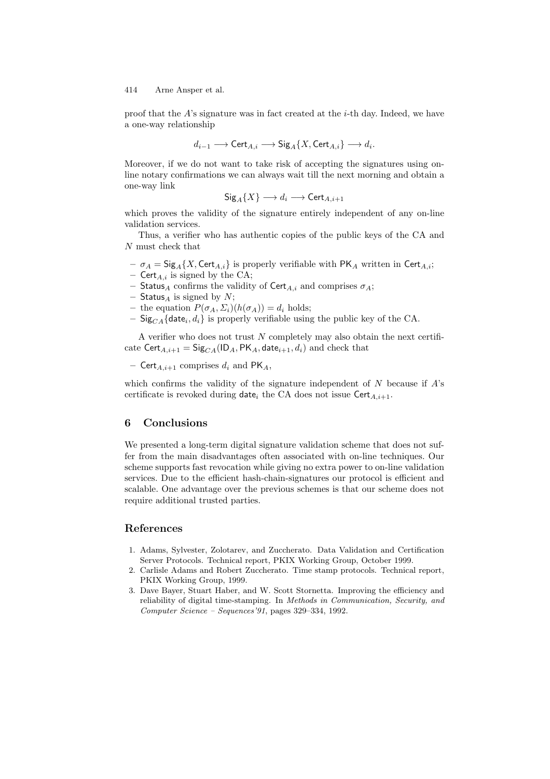<span id="page-12-0"></span>proof that the  $A$ 's signature was in fact created at the *i*-th day. Indeed, we have a one-way relationship

$$
d_{i-1} \longrightarrow \mathsf{Cert}_{A,i} \longrightarrow \mathsf{Sig}_A\{X, \mathsf{Cert}_{A,i}\} \longrightarrow d_i.
$$

Moreover, if we do not want to take risk of accepting the signatures using online notary confirmations we can always wait till the next morning and obtain a one-way link

 $\text{Sig }_{A} \{X\} \longrightarrow d_{i} \longrightarrow \text{Cert }_{A,i+1}$ 

which proves the validity of the signature entirely independent of any on-line validation services.

Thus, a verifier who has authentic copies of the public keys of the CA and N must check that

- $-\sigma_A = \text{Sig}_A\{X, \text{Cert}_{A,i}\}\$ is properly verifiable with PK<sub>A</sub> written in Cert<sub>A,*i*</sub>;
- $-$  Cert<sub>A,*i*</sub> is signed by the CA;
- **–** Status<sub>A</sub> confirms the validity of Cert<sub>A,i</sub> and comprises  $\sigma_A$ ;
- $-$  Status<sub>A</sub> is signed by N;
- $-$  the equation  $P(\sigma_A, \Sigma_i)(h(\sigma_A)) = d_i$  holds;
- **–** Sig<sub>CA</sub>{date<sub>i</sub>,  $d_i$ } is properly verifiable using the public key of the CA.

A verifier who does not trust  $N$  completely may also obtain the next certificate Cert<sub>A,i+1</sub> =  $\text{Sig}_{CA}(\text{ID}_A, \text{PK}_A, \text{date}_{i+1}, d_i)$  and check that

**–** Cert<sub>A,*i*+1</sub> comprises  $d_i$  and PK<sub>A</sub>,

which confirms the validity of the signature independent of  $N$  because if  $A$ 's certificate is revoked during date<sub>i</sub> the CA does not issue Cert<sub>A,i+1</sub>.

# **6 Conclusions**

We presented a long-term digital signature validation scheme that does not suffer from the main disadvantages often associated with on-line techniques. Our scheme supports fast revocation while giving no extra power to on-line validation services. Due to the efficient hash-chain-signatures our protocol is efficient and scalable. One advantage over the previous schemes is that our scheme does not require additional trusted parties.

# **References**

- 1. Adams, Sylvester, Zolotarev, and Zuccherato. Data Validation and Certification Server Protocols. Technical report, PKIX Working Group, October 1999.
- 2. Carlisle Adams and Robert Zuccherato. Time stamp protocols. Technical report, PKIX Working Group, 1999.
- 3. Dave Bayer, Stuart Haber, and W. Scott Stornetta. Improving the efficiency and reliability of digital time-stamping. In Methods in Communication, Security, and Computer Science – Sequences'91, pages 329–334, 1992.